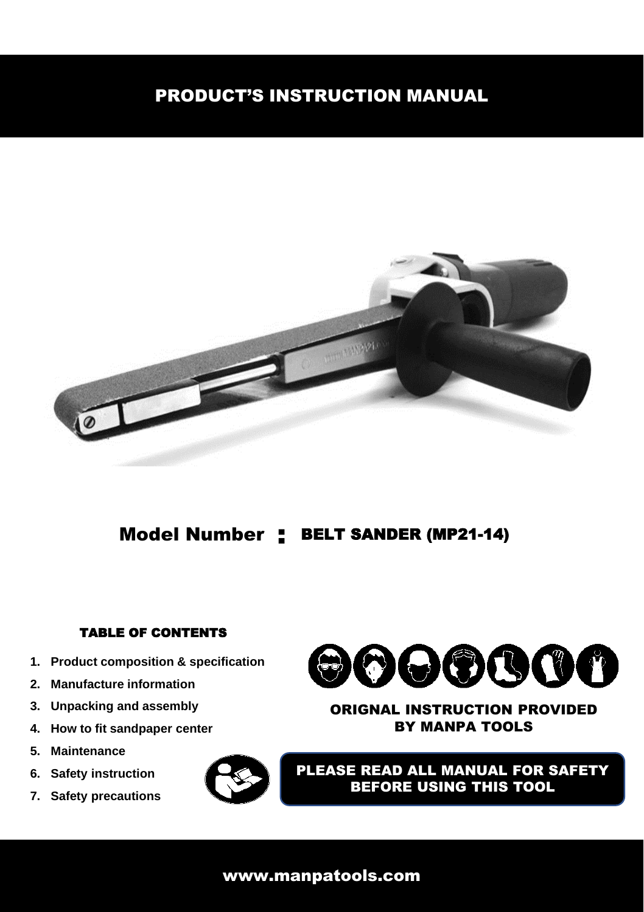# PRODUCT'S INSTRUCTION MANUAL



# Model Number : BELT SANDER (MP21-14)

## TABLE OF CONTENTS

- **1. Product composition & specification**
- **2. Manufacture information**
- **3. Unpacking and assembly**
- **4. How to fit sandpaper center**
- **5. Maintenance**
- **6. Safety instruction**
- **7. Safety precautions**



### ORIGNAL INSTRUCTION PROVIDED BY MANPA TOOLS

PLEASE READ ALL MANUAL FOR SAFETY BEFORE USING THIS TOOL

## www.manpatools.com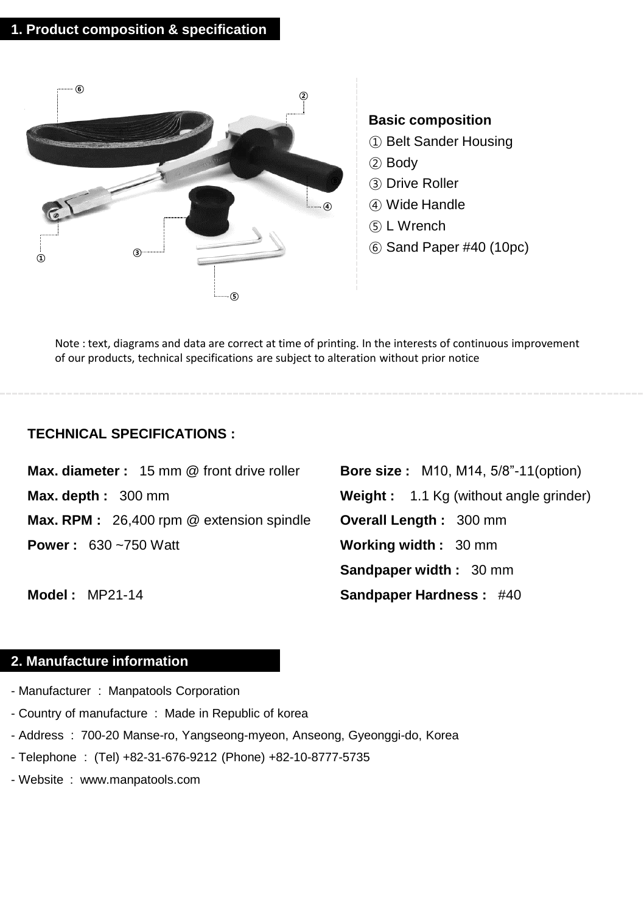

Note : text, diagrams and data are correct at time of printing. In the interests of continuous improvement of our products, technical specifications are subject to alteration without prior notice

#### **TECHNICAL SPECIFICATIONS :**

**Max. diameter :** 15 mm @ front drive roller **Max. depth :** 300 mm **Max. RPM :** 26,400 rpm @ extension spindle **Power :** 630 ~750 Watt

**Bore size :** M10, M14, 5/8"-11(option) **Weight :** 1.1 Kg (without angle grinder) **Overall Length :** 300 mm **Working width :** 30 mm **Sandpaper width :** 30 mm **Sandpaper Hardness :** #40

**Model :** MP21-14

## **2. Manufacture information**

- Manufacturer : Manpatools Corporation
- Country of manufacture : Made in Republic of korea
- Address : 700-20 Manse-ro, Yangseong-myeon, Anseong, Gyeonggi-do, Korea
- Telephone : (Tel) +82-31-676-9212 (Phone) +82-10-8777-5735
- Website : www.manpatools.com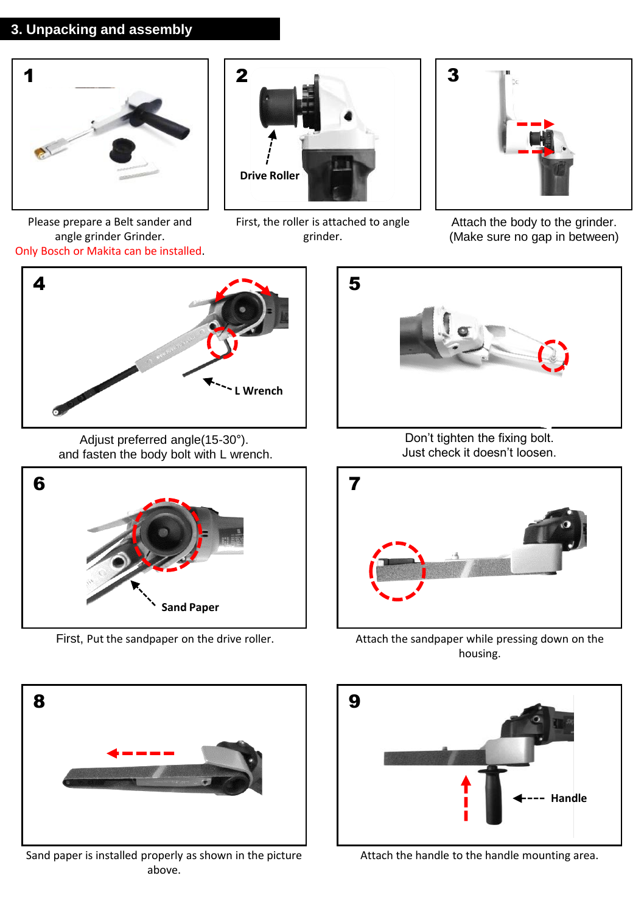#### **3. Unpacking and assembly**





First, the roller is attached to angle grinder.



Attach the body to the grinder. (Make sure no gap in between)

Please prepare a Belt sander and angle grinder Grinder. Only Bosch or Makita can be installed.



Adjust preferred angle(15-30°). and fasten the body bolt with L wrench.





Sand paper is installed properly as shown in the picture above.



Don't tighten the fixing bolt. Just check it doesn't loosen.



First, Put the sandpaper on the drive roller. Attach the sandpaper while pressing down on the housing.



Attach the handle to the handle mounting area.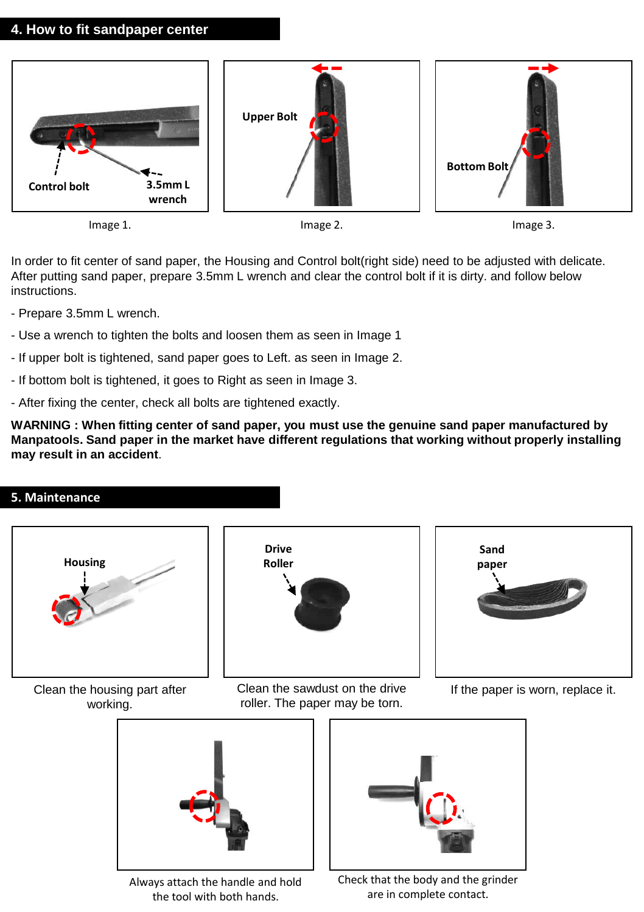#### **4. How to fit sandpaper center**



In order to fit center of sand paper, the Housing and Control bolt(right side) need to be adjusted with delicate. After putting sand paper, prepare 3.5mm L wrench and clear the control bolt if it is dirty. and follow below instructions.

- Prepare 3.5mm L wrench.
- Use a wrench to tighten the bolts and loosen them as seen in Image 1
- If upper bolt is tightened, sand paper goes to Left. as seen in Image 2.
- If bottom bolt is tightened, it goes to Right as seen in Image 3.
- After fixing the center, check all bolts are tightened exactly.

**WARNING : When fitting center of sand paper, you must use the genuine sand paper manufactured by Manpatools. Sand paper in the market have different regulations that working without properly installing may result in an accident**.

## **5. Maintenance**

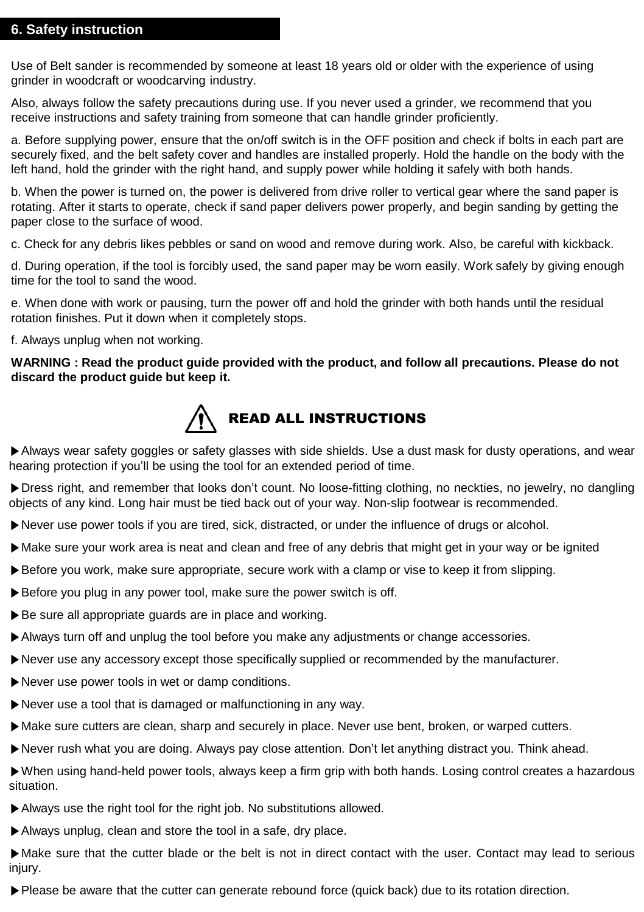#### **6. Safety instruction**

Use of Belt sander is recommended by someone at least 18 years old or older with the experience of using grinder in woodcraft or woodcarving industry.

Also, always follow the safety precautions during use. If you never used a grinder, we recommend that you receive instructions and safety training from someone that can handle grinder proficiently.

a. Before supplying power, ensure that the on/off switch is in the OFF position and check if bolts in each part are securely fixed, and the belt safety cover and handles are installed properly. Hold the handle on the body with the left hand, hold the grinder with the right hand, and supply power while holding it safely with both hands.

b. When the power is turned on, the power is delivered from drive roller to vertical gear where the sand paper is rotating. After it starts to operate, check if sand paper delivers power properly, and begin sanding by getting the paper close to the surface of wood.

c. Check for any debris likes pebbles or sand on wood and remove during work. Also, be careful with kickback.

d. During operation, if the tool is forcibly used, the sand paper may be worn easily. Work safely by giving enough time for the tool to sand the wood.

e. When done with work or pausing, turn the power off and hold the grinder with both hands until the residual rotation finishes. Put it down when it completely stops.

f. Always unplug when not working.

#### **WARNING : Read the product guide provided with the product, and follow all precautions. Please do not discard the product guide but keep it.**



▶Always wear safety goggles or safety glasses with side shields. Use a dust mask for dusty operations, and wear hearing protection if you'll be using the tool for an extended period of time.

▶Dress right, and remember that looks don't count. No loose-fitting clothing, no neckties, no jewelry, no dangling objects of any kind. Long hair must be tied back out of your way. Non-slip footwear is recommended.

- ▶Never use power tools if you are tired, sick, distracted, or under the influence of drugs or alcohol.
- ▶Make sure your work area is neat and clean and free of any debris that might get in your way or be ignited
- ▶Before you work, make sure appropriate, secure work with a clamp or vise to keep it from slipping.
- ▶ Before you plug in any power tool, make sure the power switch is off.
- ▶ Be sure all appropriate quards are in place and working.
- ▶Always turn off and unplug the tool before you make any adjustments or change accessories.
- ▶Never use any accessory except those specifically supplied or recommended by the manufacturer.
- ▶Never use power tools in wet or damp conditions.
- ▶Never use a tool that is damaged or malfunctioning in any way.
- ▶Make sure cutters are clean, sharp and securely in place. Never use bent, broken, or warped cutters.
- ▶Never rush what you are doing. Always pay close attention. Don't let anything distract you. Think ahead.

▶When using hand-held power tools, always keep a firm grip with both hands. Losing control creates a hazardous situation.

- ▶Always use the right tool for the right job. No substitutions allowed.
- ▶Always unplug, clean and store the tool in a safe, dry place.

▶Make sure that the cutter blade or the belt is not in direct contact with the user. Contact may lead to serious iniury.

▶Please be aware that the cutter can generate rebound force (quick back) due to its rotation direction.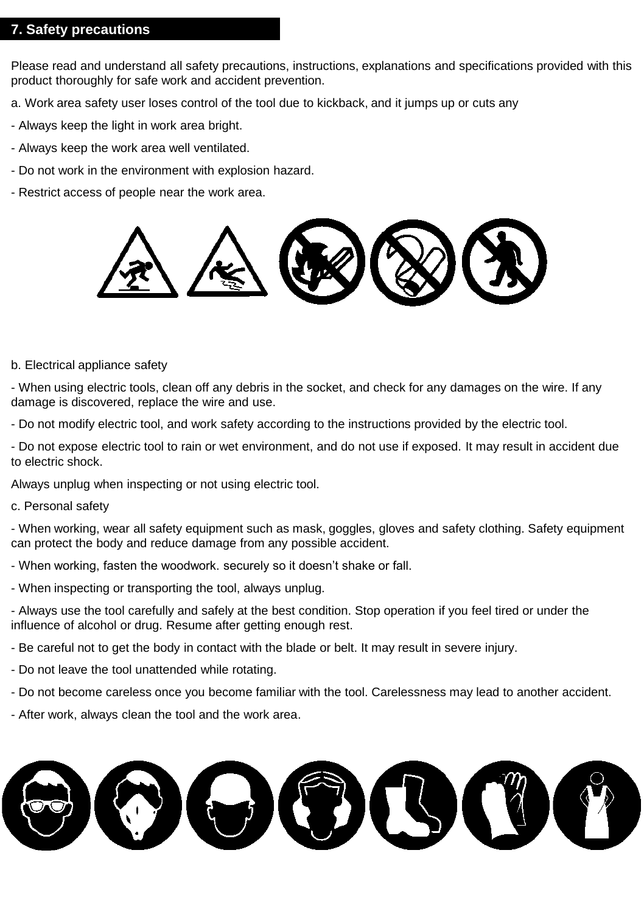#### **7. Safety precautions**

Please read and understand all safety precautions, instructions, explanations and specifications provided with this product thoroughly for safe work and accident prevention.

- a. Work area safety user loses control of the tool due to kickback, and it jumps up or cuts any
- Always keep the light in work area bright.
- Always keep the work area well ventilated.
- Do not work in the environment with explosion hazard.
- Restrict access of people near the work area.



b. Electrical appliance safety

- When using electric tools, clean off any debris in the socket, and check for any damages on the wire. If any damage is discovered, replace the wire and use.

- Do not modify electric tool, and work safety according to the instructions provided by the electric tool.

- Do not expose electric tool to rain or wet environment, and do not use if exposed. It may result in accident due to electric shock.

Always unplug when inspecting or not using electric tool.

c. Personal safety

- When working, wear all safety equipment such as mask, goggles, gloves and safety clothing. Safety equipment can protect the body and reduce damage from any possible accident.

- When working, fasten the woodwork. securely so it doesn't shake or fall.
- When inspecting or transporting the tool, always unplug.

- Always use the tool carefully and safely at the best condition. Stop operation if you feel tired or under the influence of alcohol or drug. Resume after getting enough rest.

- Be careful not to get the body in contact with the blade or belt. It may result in severe injury.
- Do not leave the tool unattended while rotating.
- Do not become careless once you become familiar with the tool. Carelessness may lead to another accident.
- After work, always clean the tool and the work area.

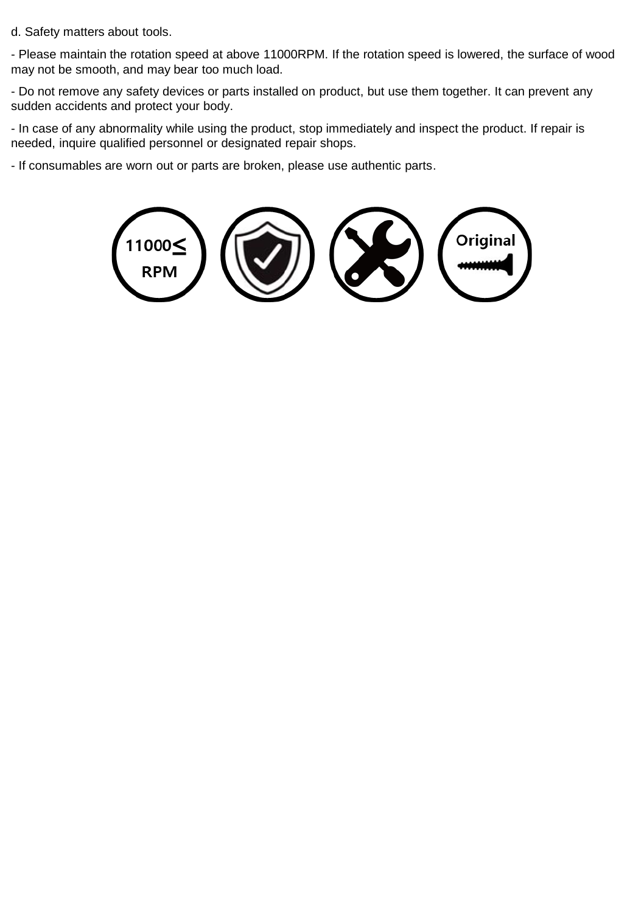d. Safety matters about tools.

- Please maintain the rotation speed at above 11000RPM. If the rotation speed is lowered, the surface of wood may not be smooth, and may bear too much load.

- Do not remove any safety devices or parts installed on product, but use them together. It can prevent any sudden accidents and protect your body.

- In case of any abnormality while using the product, stop immediately and inspect the product. If repair is needed, inquire qualified personnel or designated repair shops.

- If consumables are worn out or parts are broken, please use authentic parts.